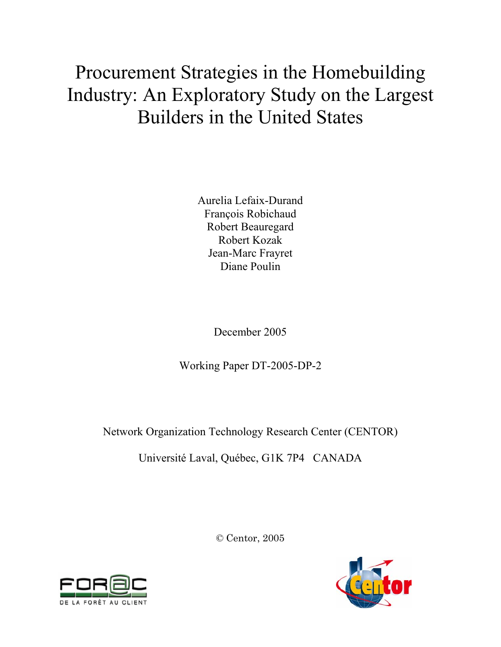# Procurement Strategies in the Homebuilding Industry: An Exploratory Study on the Largest Builders in the United States

Aurelia Lefaix-Durand François Robichaud Robert Beauregard Robert Kozak Jean-Marc Frayret Diane Poulin

December 2005

Working Paper DT-2005-DP-2

Network Organization Technology Research Center (CENTOR)

Université Laval, Québec, G1K 7P4 CANADA

© Centor, 2005



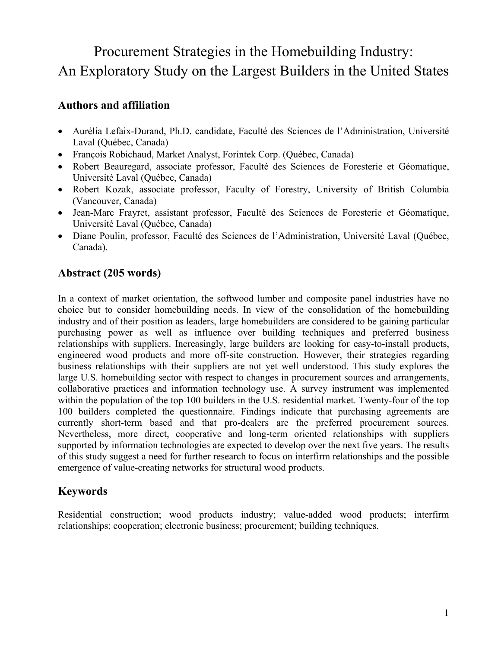## Procurement Strategies in the Homebuilding Industry: An Exploratory Study on the Largest Builders in the United States

## **Authors and affiliation**

- Aurélia Lefaix-Durand, Ph.D. candidate, Faculté des Sciences de l'Administration, Université Laval (Québec, Canada)
- François Robichaud, Market Analyst, Forintek Corp. (Québec, Canada)
- Robert Beauregard, associate professor, Faculté des Sciences de Foresterie et Géomatique, Université Laval (Québec, Canada)
- Robert Kozak, associate professor, Faculty of Forestry, University of British Columbia (Vancouver, Canada)
- Jean-Marc Frayret, assistant professor, Faculté des Sciences de Foresterie et Géomatique, Université Laval (Québec, Canada)
- Diane Poulin, professor, Faculté des Sciences de l'Administration, Université Laval (Québec, Canada).

## **Abstract (205 words)**

In a context of market orientation, the softwood lumber and composite panel industries have no choice but to consider homebuilding needs. In view of the consolidation of the homebuilding industry and of their position as leaders, large homebuilders are considered to be gaining particular purchasing power as well as influence over building techniques and preferred business relationships with suppliers. Increasingly, large builders are looking for easy-to-install products, engineered wood products and more off-site construction. However, their strategies regarding business relationships with their suppliers are not yet well understood. This study explores the large U.S. homebuilding sector with respect to changes in procurement sources and arrangements, collaborative practices and information technology use. A survey instrument was implemented within the population of the top 100 builders in the U.S. residential market. Twenty-four of the top 100 builders completed the questionnaire. Findings indicate that purchasing agreements are currently short-term based and that pro-dealers are the preferred procurement sources. Nevertheless, more direct, cooperative and long-term oriented relationships with suppliers supported by information technologies are expected to develop over the next five years. The results of this study suggest a need for further research to focus on interfirm relationships and the possible emergence of value-creating networks for structural wood products.

## **Keywords**

Residential construction; wood products industry; value-added wood products; interfirm relationships; cooperation; electronic business; procurement; building techniques.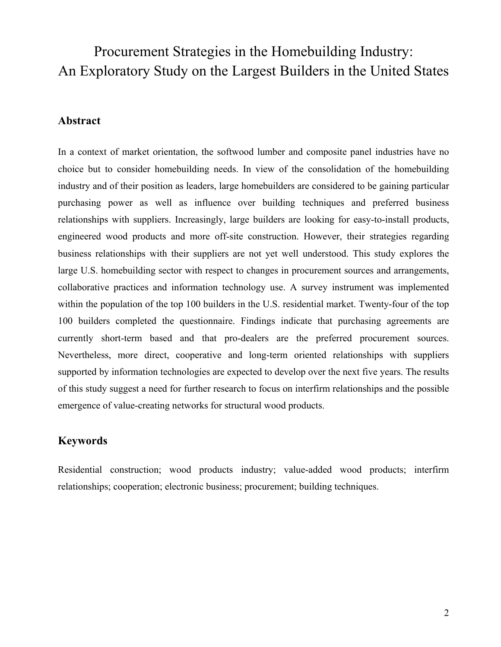## Procurement Strategies in the Homebuilding Industry: An Exploratory Study on the Largest Builders in the United States

## **Abstract**

In a context of market orientation, the softwood lumber and composite panel industries have no choice but to consider homebuilding needs. In view of the consolidation of the homebuilding industry and of their position as leaders, large homebuilders are considered to be gaining particular purchasing power as well as influence over building techniques and preferred business relationships with suppliers. Increasingly, large builders are looking for easy-to-install products, engineered wood products and more off-site construction. However, their strategies regarding business relationships with their suppliers are not yet well understood. This study explores the large U.S. homebuilding sector with respect to changes in procurement sources and arrangements, collaborative practices and information technology use. A survey instrument was implemented within the population of the top 100 builders in the U.S. residential market. Twenty-four of the top 100 builders completed the questionnaire. Findings indicate that purchasing agreements are currently short-term based and that pro-dealers are the preferred procurement sources. Nevertheless, more direct, cooperative and long-term oriented relationships with suppliers supported by information technologies are expected to develop over the next five years. The results of this study suggest a need for further research to focus on interfirm relationships and the possible emergence of value-creating networks for structural wood products.

## **Keywords**

Residential construction; wood products industry; value-added wood products; interfirm relationships; cooperation; electronic business; procurement; building techniques.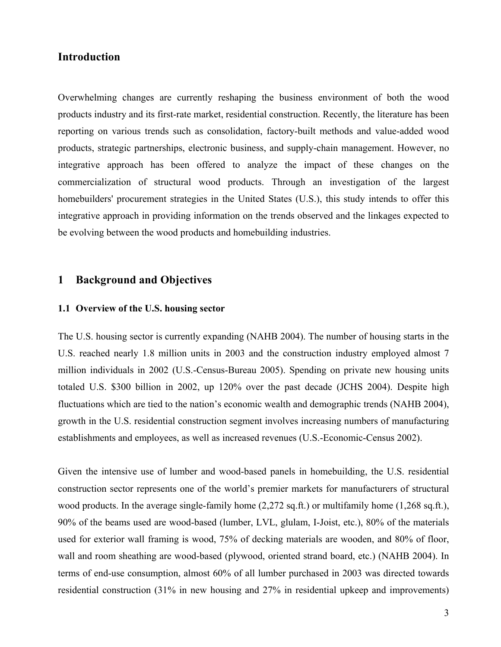## **Introduction**

Overwhelming changes are currently reshaping the business environment of both the wood products industry and its first-rate market, residential construction. Recently, the literature has been reporting on various trends such as consolidation, factory-built methods and value-added wood products, strategic partnerships, electronic business, and supply-chain management. However, no integrative approach has been offered to analyze the impact of these changes on the commercialization of structural wood products. Through an investigation of the largest homebuilders' procurement strategies in the United States (U.S.), this study intends to offer this integrative approach in providing information on the trends observed and the linkages expected to be evolving between the wood products and homebuilding industries.

## **1 Background and Objectives**

#### **1.1 Overview of the U.S. housing sector**

The U.S. housing sector is currently expanding (NAHB 2004). The number of housing starts in the U.S. reached nearly 1.8 million units in 2003 and the construction industry employed almost 7 million individuals in 2002 (U.S.-Census-Bureau 2005). Spending on private new housing units totaled U.S. \$300 billion in 2002, up 120% over the past decade (JCHS 2004). Despite high fluctuations which are tied to the nation's economic wealth and demographic trends (NAHB 2004), growth in the U.S. residential construction segment involves increasing numbers of manufacturing establishments and employees, as well as increased revenues (U.S.-Economic-Census 2002).

Given the intensive use of lumber and wood-based panels in homebuilding, the U.S. residential construction sector represents one of the world's premier markets for manufacturers of structural wood products. In the average single-family home (2,272 sq.ft.) or multifamily home (1,268 sq.ft.), 90% of the beams used are wood-based (lumber, LVL, glulam, I-Joist, etc.), 80% of the materials used for exterior wall framing is wood, 75% of decking materials are wooden, and 80% of floor, wall and room sheathing are wood-based (plywood, oriented strand board, etc.) (NAHB 2004). In terms of end-use consumption, almost 60% of all lumber purchased in 2003 was directed towards residential construction (31% in new housing and 27% in residential upkeep and improvements)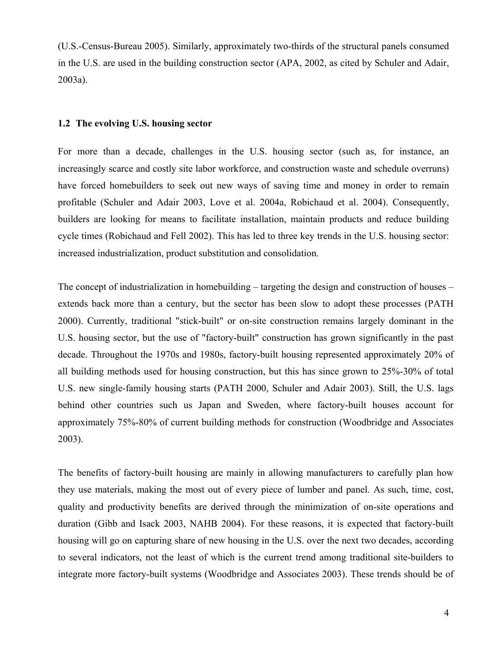(U.S.-Census-Bureau 2005). Similarly, approximately two-thirds of the structural panels consumed in the U.S. are used in the building construction sector (APA, 2002, as cited by Schuler and Adair, 2003a).

#### **1.2 The evolving U.S. housing sector**

For more than a decade, challenges in the U.S. housing sector (such as, for instance, an increasingly scarce and costly site labor workforce, and construction waste and schedule overruns) have forced homebuilders to seek out new ways of saving time and money in order to remain profitable (Schuler and Adair 2003, Love et al. 2004a, Robichaud et al. 2004). Consequently, builders are looking for means to facilitate installation, maintain products and reduce building cycle times (Robichaud and Fell 2002). This has led to three key trends in the U.S. housing sector: increased industrialization, product substitution and consolidation.

The concept of industrialization in homebuilding – targeting the design and construction of houses – extends back more than a century, but the sector has been slow to adopt these processes (PATH 2000). Currently, traditional "stick-built" or on-site construction remains largely dominant in the U.S. housing sector, but the use of "factory-built" construction has grown significantly in the past decade. Throughout the 1970s and 1980s, factory-built housing represented approximately 20% of all building methods used for housing construction, but this has since grown to 25%-30% of total U.S. new single-family housing starts (PATH 2000, Schuler and Adair 2003). Still, the U.S. lags behind other countries such us Japan and Sweden, where factory-built houses account for approximately 75%-80% of current building methods for construction (Woodbridge and Associates 2003).

The benefits of factory-built housing are mainly in allowing manufacturers to carefully plan how they use materials, making the most out of every piece of lumber and panel. As such, time, cost, quality and productivity benefits are derived through the minimization of on-site operations and duration (Gibb and Isack 2003, NAHB 2004). For these reasons, it is expected that factory-built housing will go on capturing share of new housing in the U.S. over the next two decades, according to several indicators, not the least of which is the current trend among traditional site-builders to integrate more factory-built systems (Woodbridge and Associates 2003). These trends should be of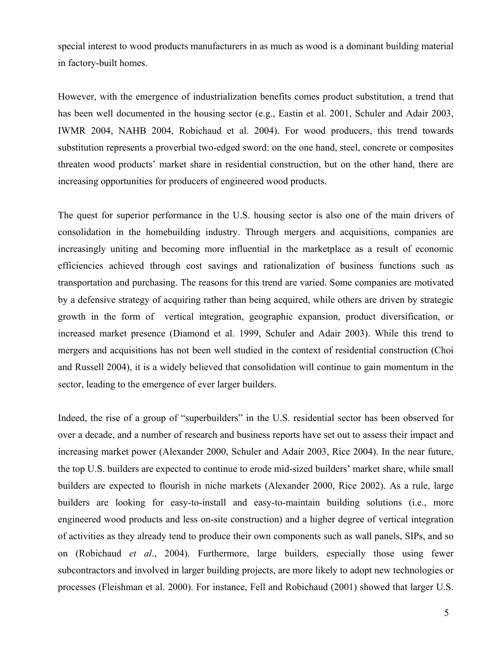special interest to wood products manufacturers in as much as wood is a dominant building material in factory-built homes.

However, with the emergence of industrialization benefits comes product substitution, a trend that has been well documented in the housing sector (e.g., Eastin et al. 2001, Schuler and Adair 2003, IWMR 2004, NAHB 2004, Robichaud et al. 2004). For wood producers, this trend towards substitution represents a proverbial two-edged sword: on the one hand, steel, concrete or composites threaten wood products' market share in residential construction, but on the other hand, there are increasing opportunities for producers of engineered wood products.

The quest for superior performance in the U.S. housing sector is also one of the main drivers of consolidation in the homebuilding industry. Through mergers and acquisitions, companies are increasingly uniting and becoming more influential in the marketplace as a result of economic efficiencies achieved through cost savings and rationalization of business functions such as transportation and purchasing. The reasons for this trend are varied. Some companies are motivated by a defensive strategy of acquiring rather than being acquired, while others are driven by strategic growth in the form of vertical integration, geographic expansion, product diversification, or increased market presence (Diamond et al. 1999, Schuler and Adair 2003). While this trend to mergers and acquisitions has not been well studied in the context of residential construction (Choi and Russell 2004), it is a widely believed that consolidation will continue to gain momentum in the sector, leading to the emergence of ever larger builders.

Indeed, the rise of a group of "superbuilders" in the U.S. residential sector has been observed for over a decade, and a number of research and business reports have set out to assess their impact and increasing market power (Alexander 2000, Schuler and Adair 2003, Rice 2004). In the near future, the top U.S. builders are expected to continue to erode mid-sized builders' market share, while small builders are expected to flourish in niche markets (Alexander 2000, Rice 2002). As a rule, large builders are looking for easy-to-install and easy-to-maintain building solutions (i.e., more engineered wood products and less on-site construction) and a higher degree of vertical integration of activities as they already tend to produce their own components such as wall panels, SIPs, and so on (Robichaud *et al*., 2004). Furthermore, large builders, especially those using fewer subcontractors and involved in larger building projects, are more likely to adopt new technologies or processes (Fleishman et al. 2000). For instance, Fell and Robichaud (2001) showed that larger U.S.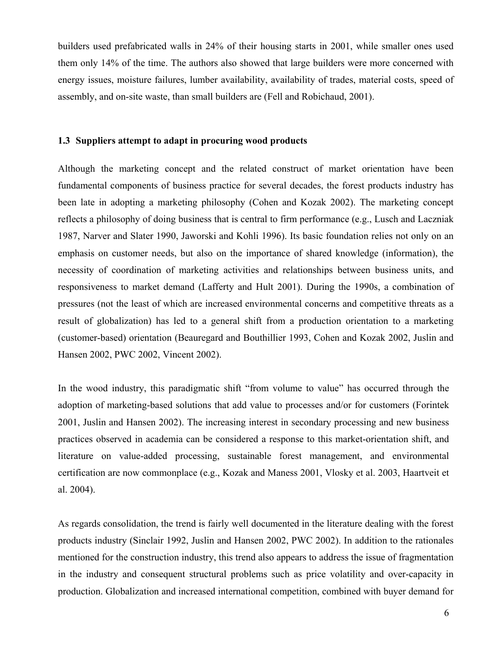builders used prefabricated walls in 24% of their housing starts in 2001, while smaller ones used them only 14% of the time. The authors also showed that large builders were more concerned with energy issues, moisture failures, lumber availability, availability of trades, material costs, speed of assembly, and on-site waste, than small builders are (Fell and Robichaud, 2001).

#### **1.3 Suppliers attempt to adapt in procuring wood products**

Although the marketing concept and the related construct of market orientation have been fundamental components of business practice for several decades, the forest products industry has been late in adopting a marketing philosophy (Cohen and Kozak 2002). The marketing concept reflects a philosophy of doing business that is central to firm performance (e.g., Lusch and Laczniak 1987, Narver and Slater 1990, Jaworski and Kohli 1996). Its basic foundation relies not only on an emphasis on customer needs, but also on the importance of shared knowledge (information), the necessity of coordination of marketing activities and relationships between business units, and responsiveness to market demand (Lafferty and Hult 2001). During the 1990s, a combination of pressures (not the least of which are increased environmental concerns and competitive threats as a result of globalization) has led to a general shift from a production orientation to a marketing (customer-based) orientation (Beauregard and Bouthillier 1993, Cohen and Kozak 2002, Juslin and Hansen 2002, PWC 2002, Vincent 2002).

In the wood industry, this paradigmatic shift "from volume to value" has occurred through the adoption of marketing-based solutions that add value to processes and/or for customers (Forintek 2001, Juslin and Hansen 2002). The increasing interest in secondary processing and new business practices observed in academia can be considered a response to this market-orientation shift, and literature on value-added processing, sustainable forest management, and environmental certification are now commonplace (e.g., Kozak and Maness 2001, Vlosky et al. 2003, Haartveit et al. 2004).

As regards consolidation, the trend is fairly well documented in the literature dealing with the forest products industry (Sinclair 1992, Juslin and Hansen 2002, PWC 2002). In addition to the rationales mentioned for the construction industry, this trend also appears to address the issue of fragmentation in the industry and consequent structural problems such as price volatility and over-capacity in production. Globalization and increased international competition, combined with buyer demand for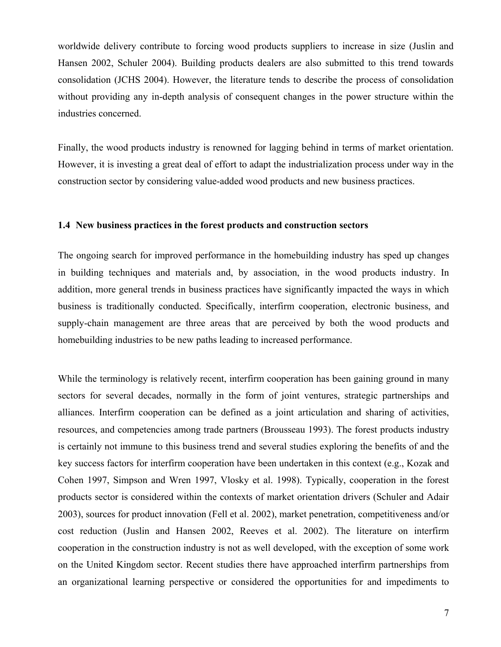worldwide delivery contribute to forcing wood products suppliers to increase in size (Juslin and Hansen 2002, Schuler 2004). Building products dealers are also submitted to this trend towards consolidation (JCHS 2004). However, the literature tends to describe the process of consolidation without providing any in-depth analysis of consequent changes in the power structure within the industries concerned.

Finally, the wood products industry is renowned for lagging behind in terms of market orientation. However, it is investing a great deal of effort to adapt the industrialization process under way in the construction sector by considering value-added wood products and new business practices.

#### **1.4 New business practices in the forest products and construction sectors**

The ongoing search for improved performance in the homebuilding industry has sped up changes in building techniques and materials and, by association, in the wood products industry. In addition, more general trends in business practices have significantly impacted the ways in which business is traditionally conducted. Specifically, interfirm cooperation, electronic business, and supply-chain management are three areas that are perceived by both the wood products and homebuilding industries to be new paths leading to increased performance.

While the terminology is relatively recent, interfirm cooperation has been gaining ground in many sectors for several decades, normally in the form of joint ventures, strategic partnerships and alliances. Interfirm cooperation can be defined as a joint articulation and sharing of activities, resources, and competencies among trade partners (Brousseau 1993). The forest products industry is certainly not immune to this business trend and several studies exploring the benefits of and the key success factors for interfirm cooperation have been undertaken in this context (e.g., Kozak and Cohen 1997, Simpson and Wren 1997, Vlosky et al. 1998). Typically, cooperation in the forest products sector is considered within the contexts of market orientation drivers (Schuler and Adair 2003), sources for product innovation (Fell et al. 2002), market penetration, competitiveness and/or cost reduction (Juslin and Hansen 2002, Reeves et al. 2002). The literature on interfirm cooperation in the construction industry is not as well developed, with the exception of some work on the United Kingdom sector. Recent studies there have approached interfirm partnerships from an organizational learning perspective or considered the opportunities for and impediments to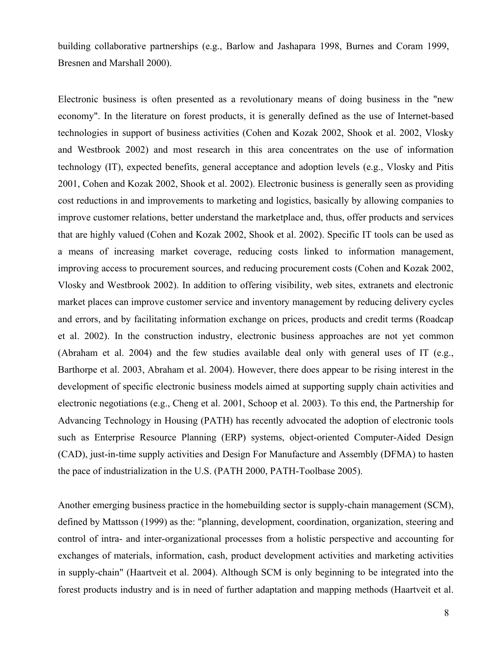building collaborative partnerships (e.g., Barlow and Jashapara 1998, Burnes and Coram 1999, Bresnen and Marshall 2000).

Electronic business is often presented as a revolutionary means of doing business in the "new economy". In the literature on forest products, it is generally defined as the use of Internet-based technologies in support of business activities (Cohen and Kozak 2002, Shook et al. 2002, Vlosky and Westbrook 2002) and most research in this area concentrates on the use of information technology (IT), expected benefits, general acceptance and adoption levels (e.g., Vlosky and Pitis 2001, Cohen and Kozak 2002, Shook et al. 2002). Electronic business is generally seen as providing cost reductions in and improvements to marketing and logistics, basically by allowing companies to improve customer relations, better understand the marketplace and, thus, offer products and services that are highly valued (Cohen and Kozak 2002, Shook et al. 2002). Specific IT tools can be used as a means of increasing market coverage, reducing costs linked to information management, improving access to procurement sources, and reducing procurement costs (Cohen and Kozak 2002, Vlosky and Westbrook 2002). In addition to offering visibility, web sites, extranets and electronic market places can improve customer service and inventory management by reducing delivery cycles and errors, and by facilitating information exchange on prices, products and credit terms (Roadcap et al. 2002). In the construction industry, electronic business approaches are not yet common (Abraham et al. 2004) and the few studies available deal only with general uses of IT (e.g., Barthorpe et al. 2003, Abraham et al. 2004). However, there does appear to be rising interest in the development of specific electronic business models aimed at supporting supply chain activities and electronic negotiations (e.g., Cheng et al. 2001, Schoop et al. 2003). To this end, the Partnership for Advancing Technology in Housing (PATH) has recently advocated the adoption of electronic tools such as Enterprise Resource Planning (ERP) systems, object-oriented Computer-Aided Design (CAD), just-in-time supply activities and Design For Manufacture and Assembly (DFMA) to hasten the pace of industrialization in the U.S. (PATH 2000, PATH-Toolbase 2005).

Another emerging business practice in the homebuilding sector is supply-chain management (SCM), defined by Mattsson (1999) as the: "planning, development, coordination, organization, steering and control of intra- and inter-organizational processes from a holistic perspective and accounting for exchanges of materials, information, cash, product development activities and marketing activities in supply-chain" (Haartveit et al. 2004). Although SCM is only beginning to be integrated into the forest products industry and is in need of further adaptation and mapping methods (Haartveit et al.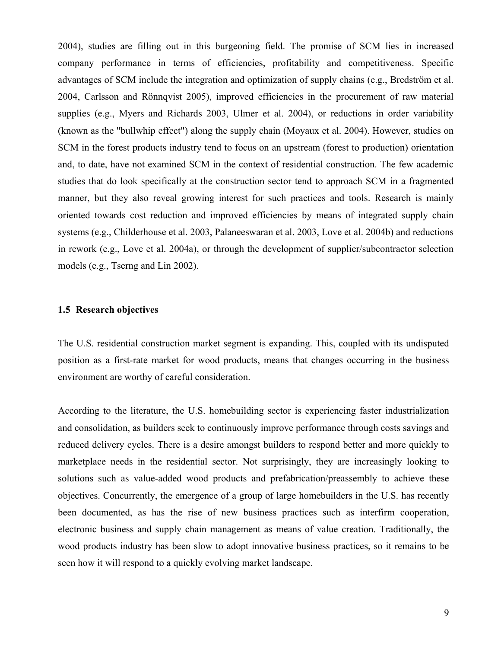2004), studies are filling out in this burgeoning field. The promise of SCM lies in increased company performance in terms of efficiencies, profitability and competitiveness. Specific advantages of SCM include the integration and optimization of supply chains (e.g., Bredström et al. 2004, Carlsson and Rönnqvist 2005), improved efficiencies in the procurement of raw material supplies (e.g., Myers and Richards 2003, Ulmer et al. 2004), or reductions in order variability (known as the "bullwhip effect") along the supply chain (Moyaux et al. 2004). However, studies on SCM in the forest products industry tend to focus on an upstream (forest to production) orientation and, to date, have not examined SCM in the context of residential construction. The few academic studies that do look specifically at the construction sector tend to approach SCM in a fragmented manner, but they also reveal growing interest for such practices and tools. Research is mainly oriented towards cost reduction and improved efficiencies by means of integrated supply chain systems (e.g., Childerhouse et al. 2003, Palaneeswaran et al. 2003, Love et al. 2004b) and reductions in rework (e.g., Love et al. 2004a), or through the development of supplier/subcontractor selection models (e.g., Tserng and Lin 2002).

#### **1.5 Research objectives**

The U.S. residential construction market segment is expanding. This, coupled with its undisputed position as a first-rate market for wood products, means that changes occurring in the business environment are worthy of careful consideration.

According to the literature, the U.S. homebuilding sector is experiencing faster industrialization and consolidation, as builders seek to continuously improve performance through costs savings and reduced delivery cycles. There is a desire amongst builders to respond better and more quickly to marketplace needs in the residential sector. Not surprisingly, they are increasingly looking to solutions such as value-added wood products and prefabrication/preassembly to achieve these objectives. Concurrently, the emergence of a group of large homebuilders in the U.S. has recently been documented, as has the rise of new business practices such as interfirm cooperation, electronic business and supply chain management as means of value creation. Traditionally, the wood products industry has been slow to adopt innovative business practices, so it remains to be seen how it will respond to a quickly evolving market landscape.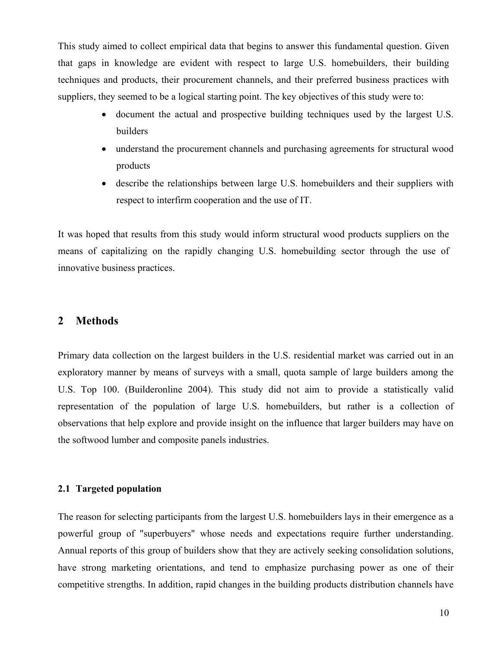This study aimed to collect empirical data that begins to answer this fundamental question. Given that gaps in knowledge are evident with respect to large U.S. homebuilders, their building techniques and products, their procurement channels, and their preferred business practices with suppliers, they seemed to be a logical starting point. The key objectives of this study were to:

- document the actual and prospective building techniques used by the largest U.S. builders
- understand the procurement channels and purchasing agreements for structural wood products
- describe the relationships between large U.S. homebuilders and their suppliers with respect to interfirm cooperation and the use of IT.

It was hoped that results from this study would inform structural wood products suppliers on the means of capitalizing on the rapidly changing U.S. homebuilding sector through the use of innovative business practices.

### **2 Methods**

Primary data collection on the largest builders in the U.S. residential market was carried out in an exploratory manner by means of surveys with a small, quota sample of large builders among the U.S. Top 100. (Builderonline 2004). This study did not aim to provide a statistically valid representation of the population of large U.S. homebuilders, but rather is a collection of observations that help explore and provide insight on the influence that larger builders may have on the softwood lumber and composite panels industries.

#### **2.1 Targeted population**

The reason for selecting participants from the largest U.S. homebuilders lays in their emergence as a powerful group of "superbuyers" whose needs and expectations require further understanding. Annual reports of this group of builders show that they are actively seeking consolidation solutions, have strong marketing orientations, and tend to emphasize purchasing power as one of their competitive strengths. In addition, rapid changes in the building products distribution channels have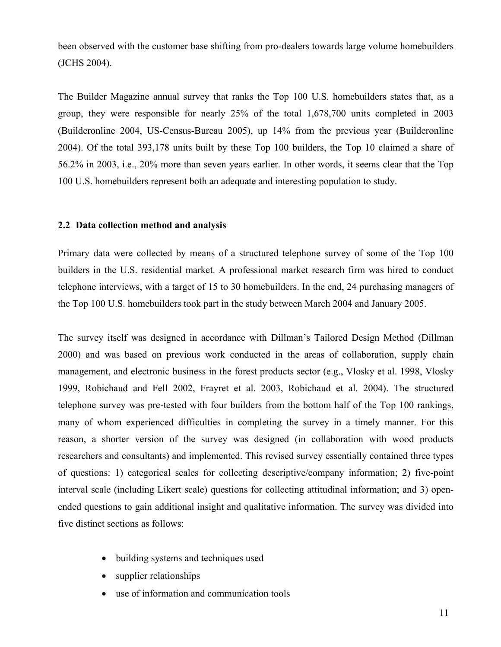been observed with the customer base shifting from pro-dealers towards large volume homebuilders (JCHS 2004).

The Builder Magazine annual survey that ranks the Top 100 U.S. homebuilders states that, as a group, they were responsible for nearly 25% of the total 1,678,700 units completed in 2003 (Builderonline 2004, US-Census-Bureau 2005), up 14% from the previous year (Builderonline 2004). Of the total 393,178 units built by these Top 100 builders, the Top 10 claimed a share of 56.2% in 2003, i.e., 20% more than seven years earlier. In other words, it seems clear that the Top 100 U.S. homebuilders represent both an adequate and interesting population to study.

#### **2.2 Data collection method and analysis**

Primary data were collected by means of a structured telephone survey of some of the Top 100 builders in the U.S. residential market. A professional market research firm was hired to conduct telephone interviews, with a target of 15 to 30 homebuilders. In the end, 24 purchasing managers of the Top 100 U.S. homebuilders took part in the study between March 2004 and January 2005.

The survey itself was designed in accordance with Dillman's Tailored Design Method (Dillman 2000) and was based on previous work conducted in the areas of collaboration, supply chain management, and electronic business in the forest products sector (e.g., Vlosky et al. 1998, Vlosky 1999, Robichaud and Fell 2002, Frayret et al. 2003, Robichaud et al. 2004). The structured telephone survey was pre-tested with four builders from the bottom half of the Top 100 rankings, many of whom experienced difficulties in completing the survey in a timely manner. For this reason, a shorter version of the survey was designed (in collaboration with wood products researchers and consultants) and implemented. This revised survey essentially contained three types of questions: 1) categorical scales for collecting descriptive/company information; 2) five-point interval scale (including Likert scale) questions for collecting attitudinal information; and 3) openended questions to gain additional insight and qualitative information. The survey was divided into five distinct sections as follows:

- building systems and techniques used
- supplier relationships
- use of information and communication tools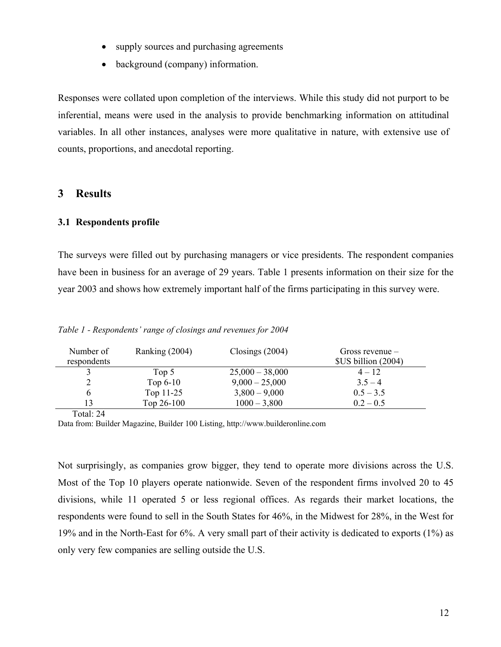- supply sources and purchasing agreements
- background (company) information.

Responses were collated upon completion of the interviews. While this study did not purport to be inferential, means were used in the analysis to provide benchmarking information on attitudinal variables. In all other instances, analyses were more qualitative in nature, with extensive use of counts, proportions, and anecdotal reporting.

#### **3 Results**

#### **3.1 Respondents profile**

The surveys were filled out by purchasing managers or vice presidents. The respondent companies have been in business for an average of 29 years. Table 1 presents information on their size for the year 2003 and shows how extremely important half of the firms participating in this survey were.

| Number of<br>respondents | Ranking $(2004)$ | Closings $(2004)$ | Gross revenue $-$<br>\$US billion (2004) |
|--------------------------|------------------|-------------------|------------------------------------------|
|                          | Top 5            | $25,000 - 38,000$ | $4 - 12$                                 |
| 2                        | Top $6-10$       | $9,000 - 25,000$  | $3.5 - 4$                                |
| b                        | Top 11-25        | $3,800 - 9,000$   | $0.5 - 3.5$                              |
| 13                       | Top $26-100$     | $1000 - 3,800$    | $0.2 - 0.5$                              |

*Table 1 - Respondents' range of closings and revenues for 2004* 

Total: 24

Data from: Builder Magazine, Builder 100 Listing, http://www.builderonline.com

Not surprisingly, as companies grow bigger, they tend to operate more divisions across the U.S. Most of the Top 10 players operate nationwide. Seven of the respondent firms involved 20 to 45 divisions, while 11 operated 5 or less regional offices. As regards their market locations, the respondents were found to sell in the South States for 46%, in the Midwest for 28%, in the West for 19% and in the North-East for 6%. A very small part of their activity is dedicated to exports (1%) as only very few companies are selling outside the U.S.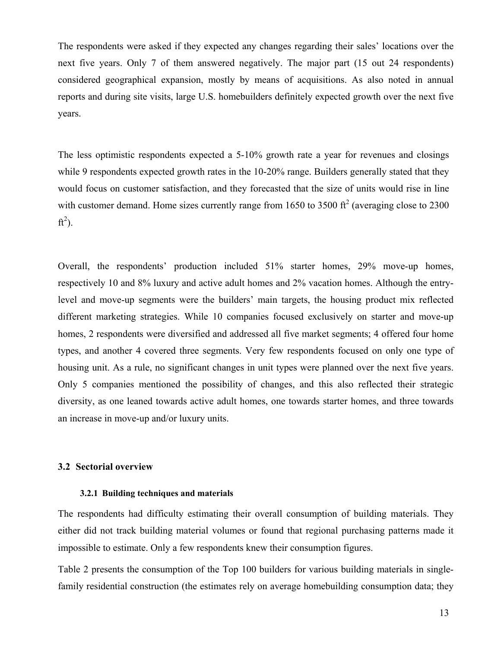The respondents were asked if they expected any changes regarding their sales' locations over the next five years. Only 7 of them answered negatively. The major part (15 out 24 respondents) considered geographical expansion, mostly by means of acquisitions. As also noted in annual reports and during site visits, large U.S. homebuilders definitely expected growth over the next five years.

The less optimistic respondents expected a 5-10% growth rate a year for revenues and closings while 9 respondents expected growth rates in the 10-20% range. Builders generally stated that they would focus on customer satisfaction, and they forecasted that the size of units would rise in line with customer demand. Home sizes currently range from 1650 to 3500  $\text{ft}^2$  (averaging close to 2300  $ft^2$ ).

Overall, the respondents' production included 51% starter homes, 29% move-up homes, respectively 10 and 8% luxury and active adult homes and 2% vacation homes. Although the entrylevel and move-up segments were the builders' main targets, the housing product mix reflected different marketing strategies. While 10 companies focused exclusively on starter and move-up homes, 2 respondents were diversified and addressed all five market segments; 4 offered four home types, and another 4 covered three segments. Very few respondents focused on only one type of housing unit. As a rule, no significant changes in unit types were planned over the next five years. Only 5 companies mentioned the possibility of changes, and this also reflected their strategic diversity, as one leaned towards active adult homes, one towards starter homes, and three towards an increase in move-up and/or luxury units.

#### **3.2 Sectorial overview**

#### **3.2.1 Building techniques and materials**

The respondents had difficulty estimating their overall consumption of building materials. They either did not track building material volumes or found that regional purchasing patterns made it impossible to estimate. Only a few respondents knew their consumption figures.

Table 2 presents the consumption of the Top 100 builders for various building materials in singlefamily residential construction (the estimates rely on average homebuilding consumption data; they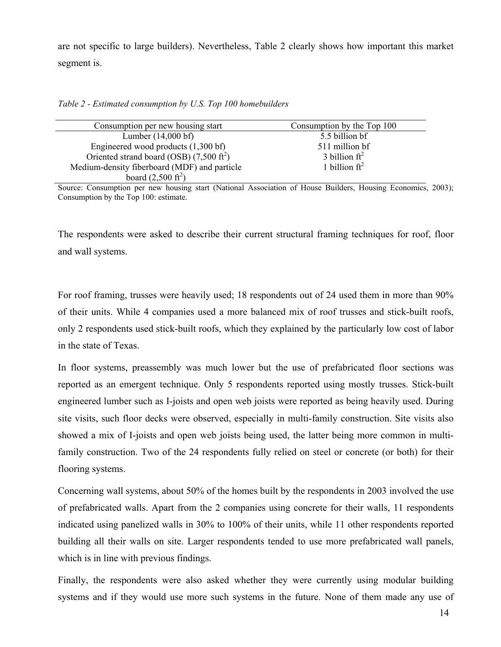are not specific to large builders). Nevertheless, Table 2 clearly shows how important this market segment is.

| Consumption per new housing start                  | Consumption by the Top 100 |
|----------------------------------------------------|----------------------------|
| Lumber $(14,000 \text{ bf})$                       | 5.5 billion bf             |
| Engineered wood products $(1,300 \text{ bf})$      | 511 million bf             |
| Oriented strand board (OSB) $(7,500 \text{ ft}^2)$ | 3 billion $ft^2$           |
| Medium-density fiberboard (MDF) and particle       | 1 billion $ft^2$           |
| board $(2,500 \text{ ft}^2)$                       |                            |

*Table 2 - Estimated consumption by U.S. Top 100 homebuilders* 

Source: Consumption per new housing start (National Association of House Builders, Housing Economics, 2003); Consumption by the Top 100: estimate.

The respondents were asked to describe their current structural framing techniques for roof, floor and wall systems.

For roof framing, trusses were heavily used; 18 respondents out of 24 used them in more than 90% of their units. While 4 companies used a more balanced mix of roof trusses and stick-built roofs, only 2 respondents used stick-built roofs, which they explained by the particularly low cost of labor in the state of Texas.

In floor systems, preassembly was much lower but the use of prefabricated floor sections was reported as an emergent technique. Only 5 respondents reported using mostly trusses. Stick-built engineered lumber such as I-joists and open web joists were reported as being heavily used. During site visits, such floor decks were observed, especially in multi-family construction. Site visits also showed a mix of I-joists and open web joists being used, the latter being more common in multifamily construction. Two of the 24 respondents fully relied on steel or concrete (or both) for their flooring systems.

Concerning wall systems, about 50% of the homes built by the respondents in 2003 involved the use of prefabricated walls. Apart from the 2 companies using concrete for their walls, 11 respondents indicated using panelized walls in 30% to 100% of their units, while 11 other respondents reported building all their walls on site. Larger respondents tended to use more prefabricated wall panels, which is in line with previous findings.

Finally, the respondents were also asked whether they were currently using modular building systems and if they would use more such systems in the future. None of them made any use of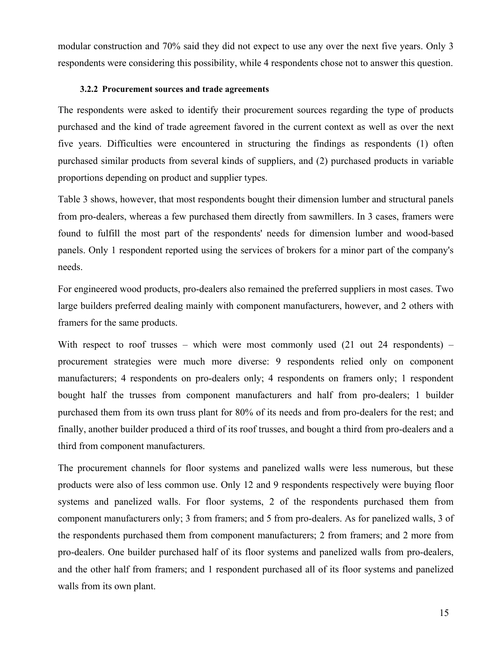modular construction and 70% said they did not expect to use any over the next five years. Only 3 respondents were considering this possibility, while 4 respondents chose not to answer this question.

#### **3.2.2 Procurement sources and trade agreements**

The respondents were asked to identify their procurement sources regarding the type of products purchased and the kind of trade agreement favored in the current context as well as over the next five years. Difficulties were encountered in structuring the findings as respondents (1) often purchased similar products from several kinds of suppliers, and (2) purchased products in variable proportions depending on product and supplier types.

Table 3 shows, however, that most respondents bought their dimension lumber and structural panels from pro-dealers, whereas a few purchased them directly from sawmillers. In 3 cases, framers were found to fulfill the most part of the respondents' needs for dimension lumber and wood-based panels. Only 1 respondent reported using the services of brokers for a minor part of the company's needs.

For engineered wood products, pro-dealers also remained the preferred suppliers in most cases. Two large builders preferred dealing mainly with component manufacturers, however, and 2 others with framers for the same products.

With respect to roof trusses – which were most commonly used  $(21 \text{ out } 24 \text{ respondents})$  – procurement strategies were much more diverse: 9 respondents relied only on component manufacturers; 4 respondents on pro-dealers only; 4 respondents on framers only; 1 respondent bought half the trusses from component manufacturers and half from pro-dealers; 1 builder purchased them from its own truss plant for 80% of its needs and from pro-dealers for the rest; and finally, another builder produced a third of its roof trusses, and bought a third from pro-dealers and a third from component manufacturers.

The procurement channels for floor systems and panelized walls were less numerous, but these products were also of less common use. Only 12 and 9 respondents respectively were buying floor systems and panelized walls. For floor systems, 2 of the respondents purchased them from component manufacturers only; 3 from framers; and 5 from pro-dealers. As for panelized walls, 3 of the respondents purchased them from component manufacturers; 2 from framers; and 2 more from pro-dealers. One builder purchased half of its floor systems and panelized walls from pro-dealers, and the other half from framers; and 1 respondent purchased all of its floor systems and panelized walls from its own plant.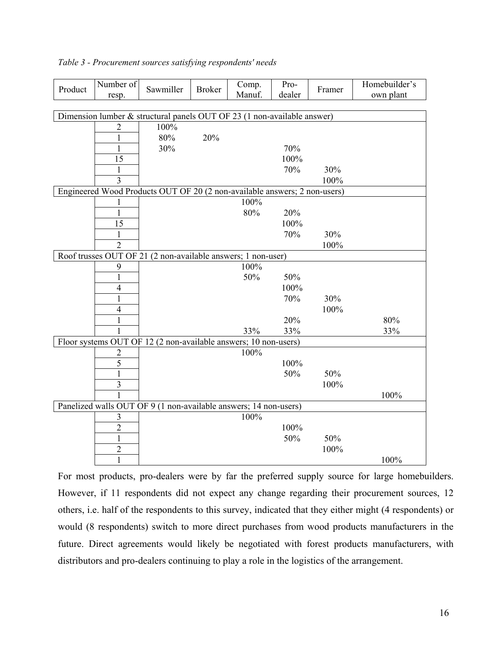| Product                                                                   | Number of      | Sawmiller                                                                 | <b>Broker</b> | Comp.  | Pro-   | Framer | Homebuilder's |  |
|---------------------------------------------------------------------------|----------------|---------------------------------------------------------------------------|---------------|--------|--------|--------|---------------|--|
|                                                                           | resp.          |                                                                           |               | Manuf. | dealer |        | own plant     |  |
|                                                                           |                |                                                                           |               |        |        |        |               |  |
| Dimension lumber $&$ structural panels OUT OF 23 (1 non-available answer) |                |                                                                           |               |        |        |        |               |  |
|                                                                           | 2              | 100%                                                                      |               |        |        |        |               |  |
|                                                                           | 1              | 80%                                                                       | 20%           |        |        |        |               |  |
|                                                                           | 1              | 30%                                                                       |               |        | 70%    |        |               |  |
|                                                                           | 15             |                                                                           |               |        | 100%   |        |               |  |
|                                                                           | 1              |                                                                           |               |        | 70%    | 30%    |               |  |
|                                                                           | $\overline{3}$ |                                                                           |               |        |        | 100%   |               |  |
|                                                                           |                | Engineered Wood Products OUT OF 20 (2 non-available answers; 2 non-users) |               |        |        |        |               |  |
|                                                                           |                |                                                                           |               | 100%   |        |        |               |  |
|                                                                           | 1              |                                                                           |               | 80%    | 20%    |        |               |  |
|                                                                           | 15             |                                                                           |               |        | 100%   |        |               |  |
|                                                                           | 1              |                                                                           |               |        | 70%    | 30%    |               |  |
|                                                                           | $\overline{2}$ |                                                                           |               |        |        | 100%   |               |  |
|                                                                           |                | Roof trusses OUT OF 21 (2 non-available answers; 1 non-user)              |               |        |        |        |               |  |
|                                                                           | 9              |                                                                           |               | 100%   |        |        |               |  |
|                                                                           | 1              |                                                                           |               | 50%    | 50%    |        |               |  |
|                                                                           | $\overline{4}$ |                                                                           |               |        | 100%   |        |               |  |
|                                                                           | 1              |                                                                           |               |        | 70%    | 30%    |               |  |
|                                                                           | $\overline{4}$ |                                                                           |               |        |        | 100%   |               |  |
|                                                                           | $\mathbf{1}$   |                                                                           |               |        | 20%    |        | 80%           |  |
|                                                                           |                |                                                                           |               | 33%    | 33%    |        | 33%           |  |
|                                                                           |                | Floor systems OUT OF 12 (2 non-available answers; 10 non-users)           |               |        |        |        |               |  |
|                                                                           | $\overline{2}$ |                                                                           |               | 100%   |        |        |               |  |
|                                                                           | 5              |                                                                           |               |        | 100%   |        |               |  |
|                                                                           | 1              |                                                                           |               |        | 50%    | 50%    |               |  |
|                                                                           | 3              |                                                                           |               |        |        | 100%   |               |  |
|                                                                           |                |                                                                           |               |        |        |        | 100%          |  |
| Panelized walls OUT OF 9 (1 non-available answers; 14 non-users)          |                |                                                                           |               |        |        |        |               |  |
|                                                                           | 3              |                                                                           |               | 100%   |        |        |               |  |
|                                                                           | $\overline{2}$ |                                                                           |               |        | 100%   |        |               |  |
|                                                                           | 1              |                                                                           |               |        | 50%    | 50%    |               |  |
|                                                                           | $\overline{2}$ |                                                                           |               |        |        | 100%   |               |  |
|                                                                           | $\mathbf{1}$   |                                                                           |               |        |        |        | 100%          |  |

*Table 3 - Procurement sources satisfying respondents' needs* 

For most products, pro-dealers were by far the preferred supply source for large homebuilders. However, if 11 respondents did not expect any change regarding their procurement sources, 12 others, i.e. half of the respondents to this survey, indicated that they either might (4 respondents) or would (8 respondents) switch to more direct purchases from wood products manufacturers in the future. Direct agreements would likely be negotiated with forest products manufacturers, with distributors and pro-dealers continuing to play a role in the logistics of the arrangement.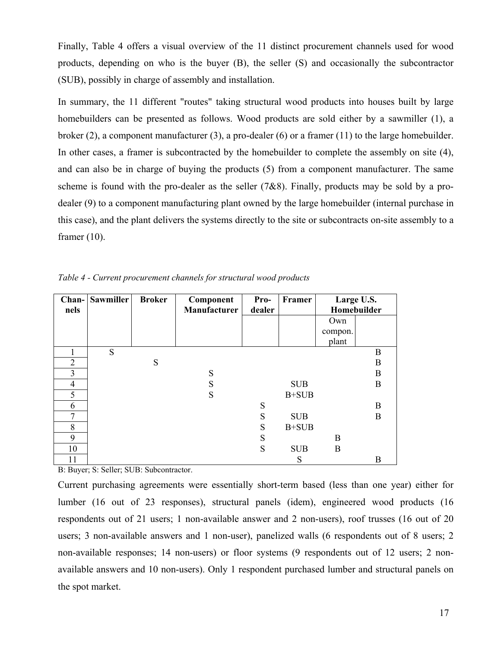Finally, Table 4 offers a visual overview of the 11 distinct procurement channels used for wood products, depending on who is the buyer (B), the seller (S) and occasionally the subcontractor (SUB), possibly in charge of assembly and installation.

In summary, the 11 different "routes" taking structural wood products into houses built by large homebuilders can be presented as follows. Wood products are sold either by a sawmiller (1), a broker (2), a component manufacturer (3), a pro-dealer (6) or a framer (11) to the large homebuilder. In other cases, a framer is subcontracted by the homebuilder to complete the assembly on site (4), and can also be in charge of buying the products (5) from a component manufacturer. The same scheme is found with the pro-dealer as the seller (7&8). Finally, products may be sold by a prodealer (9) to a component manufacturing plant owned by the large homebuilder (internal purchase in this case), and the plant delivers the systems directly to the site or subcontracts on-site assembly to a framer (10).

| $Chan-$        | <b>Sawmiller</b> | <b>Broker</b> | Component    | Pro-   | <b>Framer</b> | Large U.S.  |   |
|----------------|------------------|---------------|--------------|--------|---------------|-------------|---|
| nels           |                  |               | Manufacturer | dealer |               | Homebuilder |   |
|                |                  |               |              |        |               | Own         |   |
|                |                  |               |              |        |               | compon.     |   |
|                |                  |               |              |        |               | plant       |   |
|                | S                |               |              |        |               |             | B |
| 2              |                  | S             |              |        |               |             | B |
| 3              |                  |               | S            |        |               |             | B |
| $\overline{4}$ |                  |               | S            |        | <b>SUB</b>    |             | B |
| 5              |                  |               | S            |        | $B+SUB$       |             |   |
| 6              |                  |               |              | S      |               |             | B |
| ⇁              |                  |               |              | S      | <b>SUB</b>    |             | B |
| 8              |                  |               |              | S      | $B+SUB$       |             |   |
| 9              |                  |               |              | S      |               | B           |   |
| 10             |                  |               |              | S      | <b>SUB</b>    | B           |   |
| 11             |                  |               |              |        | S             |             | B |

*Table 4 - Current procurement channels for structural wood products* 

B: Buyer; S: Seller; SUB: Subcontractor.

Current purchasing agreements were essentially short-term based (less than one year) either for lumber (16 out of 23 responses), structural panels (idem), engineered wood products (16 respondents out of 21 users; 1 non-available answer and 2 non-users), roof trusses (16 out of 20 users; 3 non-available answers and 1 non-user), panelized walls (6 respondents out of 8 users; 2 non-available responses; 14 non-users) or floor systems (9 respondents out of 12 users; 2 nonavailable answers and 10 non-users). Only 1 respondent purchased lumber and structural panels on the spot market.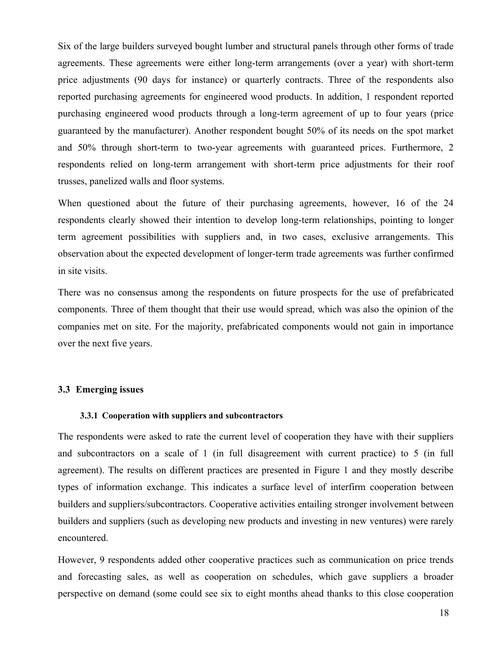Six of the large builders surveyed bought lumber and structural panels through other forms of trade agreements. These agreements were either long-term arrangements (over a year) with short-term price adjustments (90 days for instance) or quarterly contracts. Three of the respondents also reported purchasing agreements for engineered wood products. In addition, 1 respondent reported purchasing engineered wood products through a long-term agreement of up to four years (price guaranteed by the manufacturer). Another respondent bought 50% of its needs on the spot market and 50% through short-term to two-year agreements with guaranteed prices. Furthermore, 2 respondents relied on long-term arrangement with short-term price adjustments for their roof trusses, panelized walls and floor systems.

When questioned about the future of their purchasing agreements, however, 16 of the 24 respondents clearly showed their intention to develop long-term relationships, pointing to longer term agreement possibilities with suppliers and, in two cases, exclusive arrangements. This observation about the expected development of longer-term trade agreements was further confirmed in site visits.

There was no consensus among the respondents on future prospects for the use of prefabricated components. Three of them thought that their use would spread, which was also the opinion of the companies met on site. For the majority, prefabricated components would not gain in importance over the next five years.

#### **3.3 Emerging issues**

#### **3.3.1 Cooperation with suppliers and subcontractors**

The respondents were asked to rate the current level of cooperation they have with their suppliers and subcontractors on a scale of 1 (in full disagreement with current practice) to 5 (in full agreement). The results on different practices are presented in Figure 1 and they mostly describe types of information exchange. This indicates a surface level of interfirm cooperation between builders and suppliers/subcontractors. Cooperative activities entailing stronger involvement between builders and suppliers (such as developing new products and investing in new ventures) were rarely encountered.

However, 9 respondents added other cooperative practices such as communication on price trends and forecasting sales, as well as cooperation on schedules, which gave suppliers a broader perspective on demand (some could see six to eight months ahead thanks to this close cooperation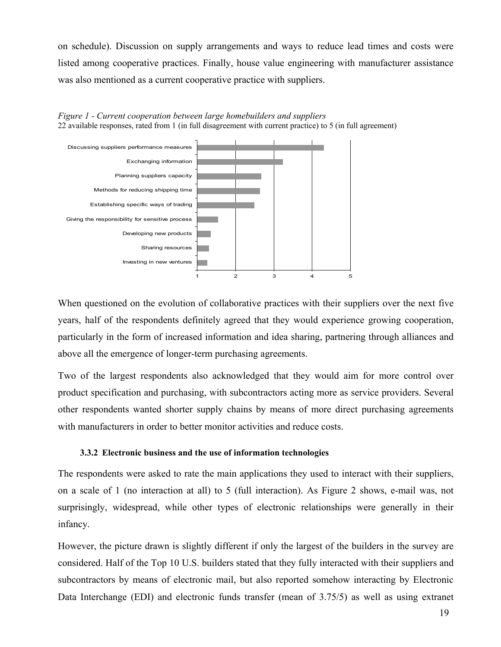on schedule). Discussion on supply arrangements and ways to reduce lead times and costs were listed among cooperative practices. Finally, house value engineering with manufacturer assistance was also mentioned as a current cooperative practice with suppliers.



*Figure 1 - Current cooperation between large homebuilders and suppliers*  22 available responses, rated from 1 (in full disagreement with current practice) to 5 (in full agreement)

When questioned on the evolution of collaborative practices with their suppliers over the next five years, half of the respondents definitely agreed that they would experience growing cooperation, particularly in the form of increased information and idea sharing, partnering through alliances and above all the emergence of longer-term purchasing agreements.

Two of the largest respondents also acknowledged that they would aim for more control over product specification and purchasing, with subcontractors acting more as service providers. Several other respondents wanted shorter supply chains by means of more direct purchasing agreements with manufacturers in order to better monitor activities and reduce costs.

#### **3.3.2 Electronic business and the use of information technologies**

The respondents were asked to rate the main applications they used to interact with their suppliers, on a scale of 1 (no interaction at all) to 5 (full interaction). As Figure 2 shows, e-mail was, not surprisingly, widespread, while other types of electronic relationships were generally in their infancy.

However, the picture drawn is slightly different if only the largest of the builders in the survey are considered. Half of the Top 10 U.S. builders stated that they fully interacted with their suppliers and subcontractors by means of electronic mail, but also reported somehow interacting by Electronic Data Interchange (EDI) and electronic funds transfer (mean of 3.75/5) as well as using extranet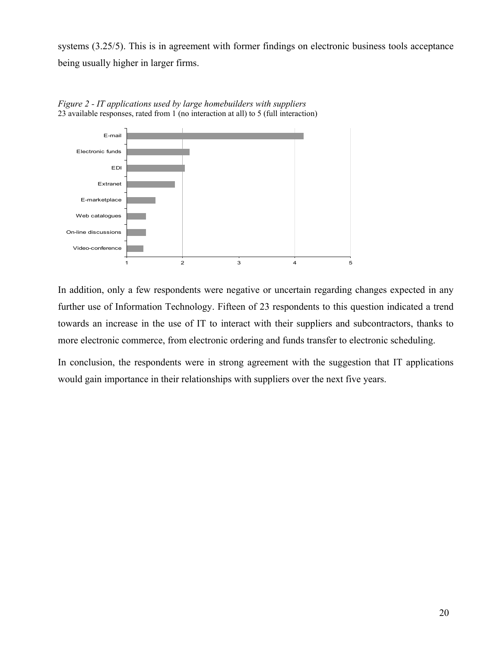systems (3.25/5). This is in agreement with former findings on electronic business tools acceptance being usually higher in larger firms.





In addition, only a few respondents were negative or uncertain regarding changes expected in any further use of Information Technology. Fifteen of 23 respondents to this question indicated a trend towards an increase in the use of IT to interact with their suppliers and subcontractors, thanks to more electronic commerce, from electronic ordering and funds transfer to electronic scheduling.

In conclusion, the respondents were in strong agreement with the suggestion that IT applications would gain importance in their relationships with suppliers over the next five years.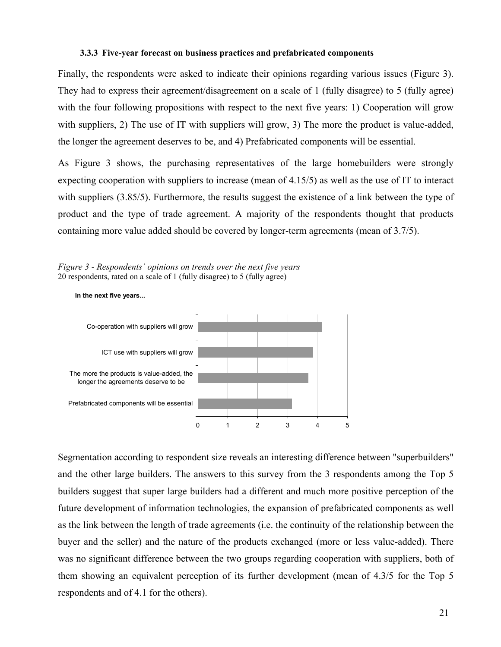#### **3.3.3 Five-year forecast on business practices and prefabricated components**

Finally, the respondents were asked to indicate their opinions regarding various issues (Figure 3). They had to express their agreement/disagreement on a scale of 1 (fully disagree) to 5 (fully agree) with the four following propositions with respect to the next five years: 1) Cooperation will grow with suppliers, 2) The use of IT with suppliers will grow, 3) The more the product is value-added, the longer the agreement deserves to be, and 4) Prefabricated components will be essential.

As Figure 3 shows, the purchasing representatives of the large homebuilders were strongly expecting cooperation with suppliers to increase (mean of 4.15/5) as well as the use of IT to interact with suppliers (3.85/5). Furthermore, the results suggest the existence of a link between the type of product and the type of trade agreement. A majority of the respondents thought that products containing more value added should be covered by longer-term agreements (mean of 3.7/5).



**In the next five years...**



Segmentation according to respondent size reveals an interesting difference between "superbuilders" and the other large builders. The answers to this survey from the 3 respondents among the Top 5 builders suggest that super large builders had a different and much more positive perception of the future development of information technologies, the expansion of prefabricated components as well as the link between the length of trade agreements (i.e. the continuity of the relationship between the buyer and the seller) and the nature of the products exchanged (more or less value-added). There was no significant difference between the two groups regarding cooperation with suppliers, both of them showing an equivalent perception of its further development (mean of 4.3/5 for the Top 5 respondents and of 4.1 for the others).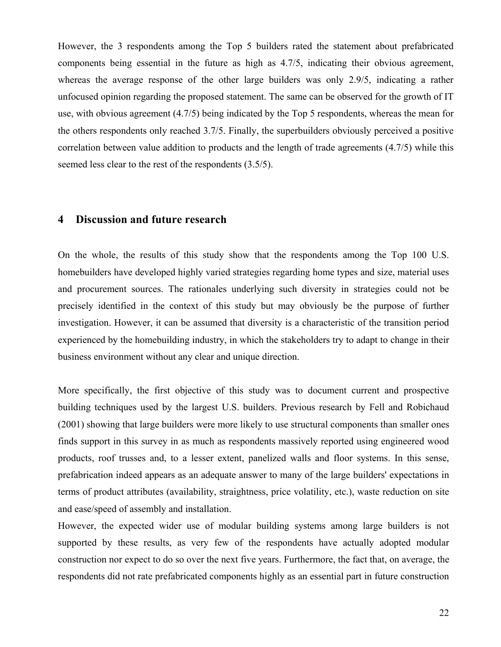However, the 3 respondents among the Top 5 builders rated the statement about prefabricated components being essential in the future as high as 4.7/5, indicating their obvious agreement, whereas the average response of the other large builders was only 2.9/5, indicating a rather unfocused opinion regarding the proposed statement. The same can be observed for the growth of IT use, with obvious agreement (4.7/5) being indicated by the Top 5 respondents, whereas the mean for the others respondents only reached 3.7/5. Finally, the superbuilders obviously perceived a positive correlation between value addition to products and the length of trade agreements (4.7/5) while this seemed less clear to the rest of the respondents  $(3.5/5)$ .

## **4 Discussion and future research**

On the whole, the results of this study show that the respondents among the Top 100 U.S. homebuilders have developed highly varied strategies regarding home types and size, material uses and procurement sources. The rationales underlying such diversity in strategies could not be precisely identified in the context of this study but may obviously be the purpose of further investigation. However, it can be assumed that diversity is a characteristic of the transition period experienced by the homebuilding industry, in which the stakeholders try to adapt to change in their business environment without any clear and unique direction.

More specifically, the first objective of this study was to document current and prospective building techniques used by the largest U.S. builders. Previous research by Fell and Robichaud (2001) showing that large builders were more likely to use structural components than smaller ones finds support in this survey in as much as respondents massively reported using engineered wood products, roof trusses and, to a lesser extent, panelized walls and floor systems. In this sense, prefabrication indeed appears as an adequate answer to many of the large builders' expectations in terms of product attributes (availability, straightness, price volatility, etc.), waste reduction on site and ease/speed of assembly and installation.

However, the expected wider use of modular building systems among large builders is not supported by these results, as very few of the respondents have actually adopted modular construction nor expect to do so over the next five years. Furthermore, the fact that, on average, the respondents did not rate prefabricated components highly as an essential part in future construction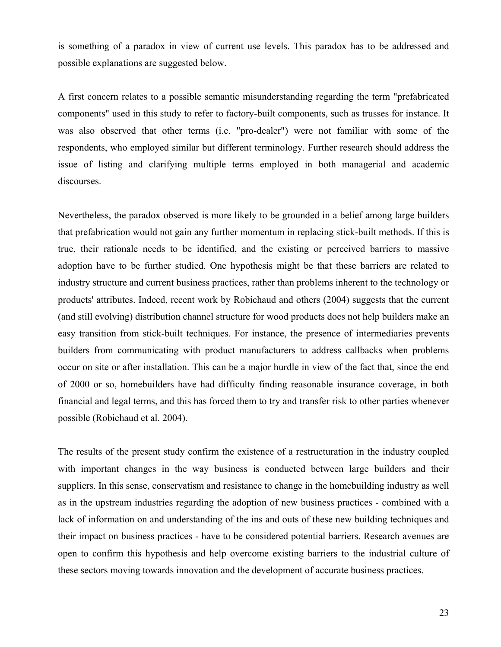is something of a paradox in view of current use levels. This paradox has to be addressed and possible explanations are suggested below.

A first concern relates to a possible semantic misunderstanding regarding the term "prefabricated components" used in this study to refer to factory-built components, such as trusses for instance. It was also observed that other terms (i.e. "pro-dealer") were not familiar with some of the respondents, who employed similar but different terminology. Further research should address the issue of listing and clarifying multiple terms employed in both managerial and academic discourses.

Nevertheless, the paradox observed is more likely to be grounded in a belief among large builders that prefabrication would not gain any further momentum in replacing stick-built methods. If this is true, their rationale needs to be identified, and the existing or perceived barriers to massive adoption have to be further studied. One hypothesis might be that these barriers are related to industry structure and current business practices, rather than problems inherent to the technology or products' attributes. Indeed, recent work by Robichaud and others (2004) suggests that the current (and still evolving) distribution channel structure for wood products does not help builders make an easy transition from stick-built techniques. For instance, the presence of intermediaries prevents builders from communicating with product manufacturers to address callbacks when problems occur on site or after installation. This can be a major hurdle in view of the fact that, since the end of 2000 or so, homebuilders have had difficulty finding reasonable insurance coverage, in both financial and legal terms, and this has forced them to try and transfer risk to other parties whenever possible (Robichaud et al. 2004).

The results of the present study confirm the existence of a restructuration in the industry coupled with important changes in the way business is conducted between large builders and their suppliers. In this sense, conservatism and resistance to change in the homebuilding industry as well as in the upstream industries regarding the adoption of new business practices - combined with a lack of information on and understanding of the ins and outs of these new building techniques and their impact on business practices - have to be considered potential barriers. Research avenues are open to confirm this hypothesis and help overcome existing barriers to the industrial culture of these sectors moving towards innovation and the development of accurate business practices.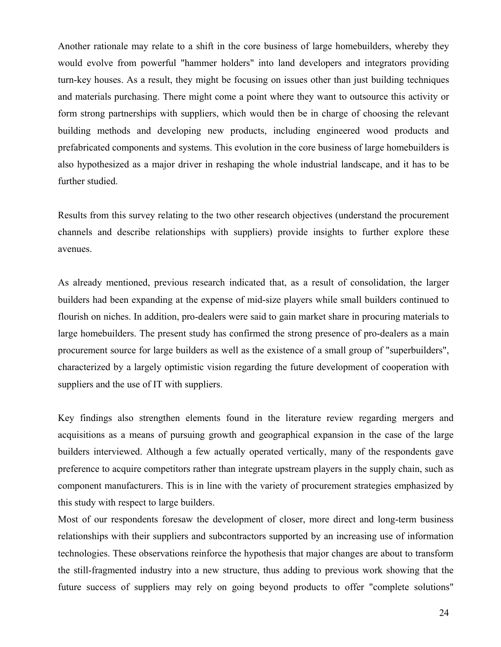Another rationale may relate to a shift in the core business of large homebuilders, whereby they would evolve from powerful "hammer holders" into land developers and integrators providing turn-key houses. As a result, they might be focusing on issues other than just building techniques and materials purchasing. There might come a point where they want to outsource this activity or form strong partnerships with suppliers, which would then be in charge of choosing the relevant building methods and developing new products, including engineered wood products and prefabricated components and systems. This evolution in the core business of large homebuilders is also hypothesized as a major driver in reshaping the whole industrial landscape, and it has to be further studied.

Results from this survey relating to the two other research objectives (understand the procurement channels and describe relationships with suppliers) provide insights to further explore these avenues.

As already mentioned, previous research indicated that, as a result of consolidation, the larger builders had been expanding at the expense of mid-size players while small builders continued to flourish on niches. In addition, pro-dealers were said to gain market share in procuring materials to large homebuilders. The present study has confirmed the strong presence of pro-dealers as a main procurement source for large builders as well as the existence of a small group of "superbuilders", characterized by a largely optimistic vision regarding the future development of cooperation with suppliers and the use of IT with suppliers.

Key findings also strengthen elements found in the literature review regarding mergers and acquisitions as a means of pursuing growth and geographical expansion in the case of the large builders interviewed. Although a few actually operated vertically, many of the respondents gave preference to acquire competitors rather than integrate upstream players in the supply chain, such as component manufacturers. This is in line with the variety of procurement strategies emphasized by this study with respect to large builders.

Most of our respondents foresaw the development of closer, more direct and long-term business relationships with their suppliers and subcontractors supported by an increasing use of information technologies. These observations reinforce the hypothesis that major changes are about to transform the still-fragmented industry into a new structure, thus adding to previous work showing that the future success of suppliers may rely on going beyond products to offer "complete solutions"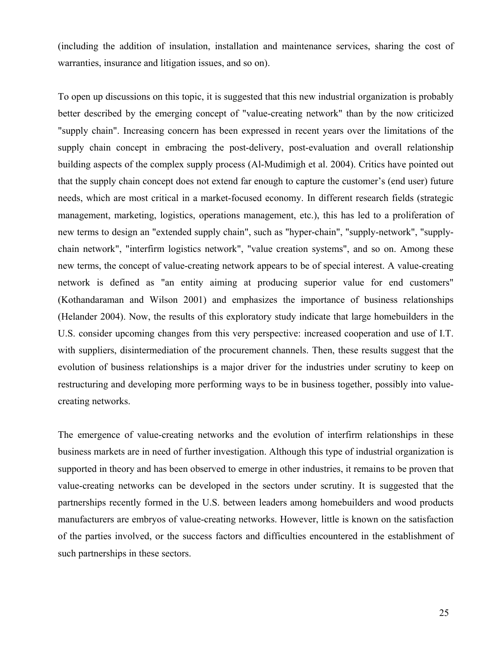(including the addition of insulation, installation and maintenance services, sharing the cost of warranties, insurance and litigation issues, and so on).

To open up discussions on this topic, it is suggested that this new industrial organization is probably better described by the emerging concept of "value-creating network" than by the now criticized "supply chain". Increasing concern has been expressed in recent years over the limitations of the supply chain concept in embracing the post-delivery, post-evaluation and overall relationship building aspects of the complex supply process (Al-Mudimigh et al. 2004). Critics have pointed out that the supply chain concept does not extend far enough to capture the customer's (end user) future needs, which are most critical in a market-focused economy. In different research fields (strategic management, marketing, logistics, operations management, etc.), this has led to a proliferation of new terms to design an "extended supply chain", such as "hyper-chain", "supply-network", "supplychain network", "interfirm logistics network", "value creation systems", and so on. Among these new terms, the concept of value-creating network appears to be of special interest. A value-creating network is defined as "an entity aiming at producing superior value for end customers" (Kothandaraman and Wilson 2001) and emphasizes the importance of business relationships (Helander 2004). Now, the results of this exploratory study indicate that large homebuilders in the U.S. consider upcoming changes from this very perspective: increased cooperation and use of I.T. with suppliers, disintermediation of the procurement channels. Then, these results suggest that the evolution of business relationships is a major driver for the industries under scrutiny to keep on restructuring and developing more performing ways to be in business together, possibly into valuecreating networks.

The emergence of value-creating networks and the evolution of interfirm relationships in these business markets are in need of further investigation. Although this type of industrial organization is supported in theory and has been observed to emerge in other industries, it remains to be proven that value-creating networks can be developed in the sectors under scrutiny. It is suggested that the partnerships recently formed in the U.S. between leaders among homebuilders and wood products manufacturers are embryos of value-creating networks. However, little is known on the satisfaction of the parties involved, or the success factors and difficulties encountered in the establishment of such partnerships in these sectors.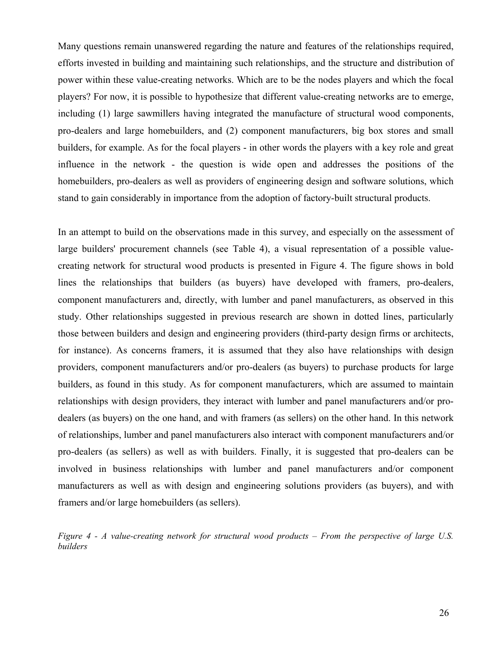Many questions remain unanswered regarding the nature and features of the relationships required, efforts invested in building and maintaining such relationships, and the structure and distribution of power within these value-creating networks. Which are to be the nodes players and which the focal players? For now, it is possible to hypothesize that different value-creating networks are to emerge, including (1) large sawmillers having integrated the manufacture of structural wood components, pro-dealers and large homebuilders, and (2) component manufacturers, big box stores and small builders, for example. As for the focal players - in other words the players with a key role and great influence in the network - the question is wide open and addresses the positions of the homebuilders, pro-dealers as well as providers of engineering design and software solutions, which stand to gain considerably in importance from the adoption of factory-built structural products.

In an attempt to build on the observations made in this survey, and especially on the assessment of large builders' procurement channels (see Table 4), a visual representation of a possible valuecreating network for structural wood products is presented in Figure 4. The figure shows in bold lines the relationships that builders (as buyers) have developed with framers, pro-dealers, component manufacturers and, directly, with lumber and panel manufacturers, as observed in this study. Other relationships suggested in previous research are shown in dotted lines, particularly those between builders and design and engineering providers (third-party design firms or architects, for instance). As concerns framers, it is assumed that they also have relationships with design providers, component manufacturers and/or pro-dealers (as buyers) to purchase products for large builders, as found in this study. As for component manufacturers, which are assumed to maintain relationships with design providers, they interact with lumber and panel manufacturers and/or prodealers (as buyers) on the one hand, and with framers (as sellers) on the other hand. In this network of relationships, lumber and panel manufacturers also interact with component manufacturers and/or pro-dealers (as sellers) as well as with builders. Finally, it is suggested that pro-dealers can be involved in business relationships with lumber and panel manufacturers and/or component manufacturers as well as with design and engineering solutions providers (as buyers), and with framers and/or large homebuilders (as sellers).

*Figure 4 - A value-creating network for structural wood products – From the perspective of large U.S. builders*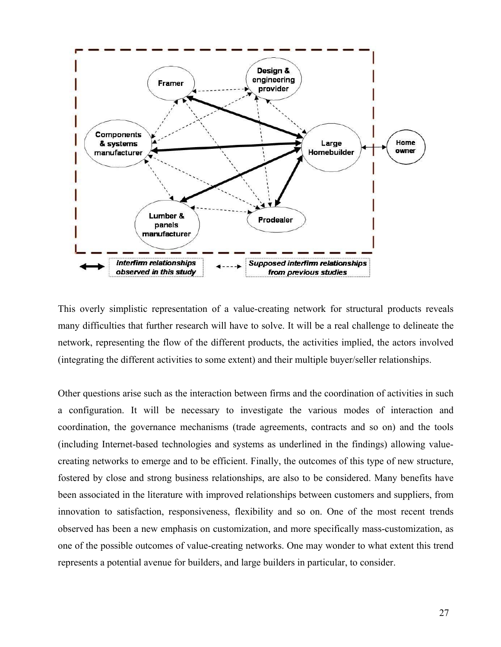

This overly simplistic representation of a value-creating network for structural products reveals many difficulties that further research will have to solve. It will be a real challenge to delineate the network, representing the flow of the different products, the activities implied, the actors involved (integrating the different activities to some extent) and their multiple buyer/seller relationships.

Other questions arise such as the interaction between firms and the coordination of activities in such a configuration. It will be necessary to investigate the various modes of interaction and coordination, the governance mechanisms (trade agreements, contracts and so on) and the tools (including Internet-based technologies and systems as underlined in the findings) allowing valuecreating networks to emerge and to be efficient. Finally, the outcomes of this type of new structure, fostered by close and strong business relationships, are also to be considered. Many benefits have been associated in the literature with improved relationships between customers and suppliers, from innovation to satisfaction, responsiveness, flexibility and so on. One of the most recent trends observed has been a new emphasis on customization, and more specifically mass-customization, as one of the possible outcomes of value-creating networks. One may wonder to what extent this trend represents a potential avenue for builders, and large builders in particular, to consider.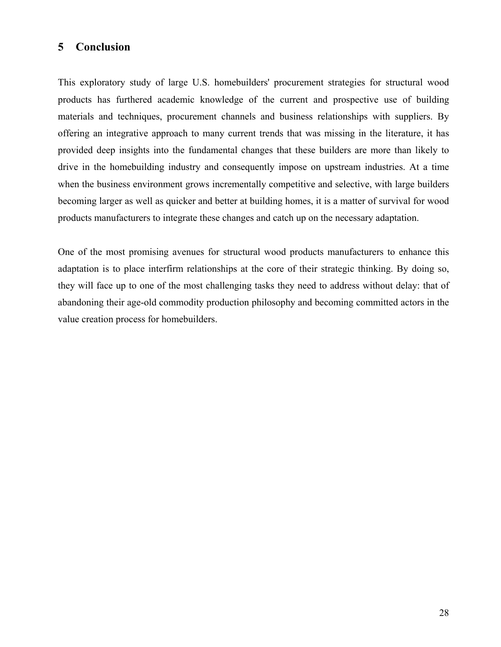## **5 Conclusion**

This exploratory study of large U.S. homebuilders' procurement strategies for structural wood products has furthered academic knowledge of the current and prospective use of building materials and techniques, procurement channels and business relationships with suppliers. By offering an integrative approach to many current trends that was missing in the literature, it has provided deep insights into the fundamental changes that these builders are more than likely to drive in the homebuilding industry and consequently impose on upstream industries. At a time when the business environment grows incrementally competitive and selective, with large builders becoming larger as well as quicker and better at building homes, it is a matter of survival for wood products manufacturers to integrate these changes and catch up on the necessary adaptation.

One of the most promising avenues for structural wood products manufacturers to enhance this adaptation is to place interfirm relationships at the core of their strategic thinking. By doing so, they will face up to one of the most challenging tasks they need to address without delay: that of abandoning their age-old commodity production philosophy and becoming committed actors in the value creation process for homebuilders.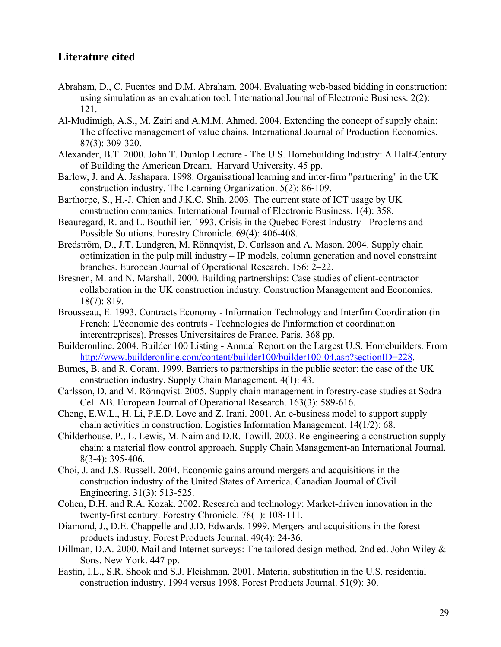## **Literature cited**

- Abraham, D., C. Fuentes and D.M. Abraham. 2004. Evaluating web-based bidding in construction: using simulation as an evaluation tool. International Journal of Electronic Business. 2(2): 121.
- Al-Mudimigh, A.S., M. Zairi and A.M.M. Ahmed. 2004. Extending the concept of supply chain: The effective management of value chains. International Journal of Production Economics. 87(3): 309-320.
- Alexander, B.T. 2000. John T. Dunlop Lecture The U.S. Homebuilding Industry: A Half-Century of Building the American Dream. Harvard University. 45 pp.
- Barlow, J. and A. Jashapara. 1998. Organisational learning and inter-firm "partnering" in the UK construction industry. The Learning Organization. 5(2): 86-109.
- Barthorpe, S., H.-J. Chien and J.K.C. Shih. 2003. The current state of ICT usage by UK construction companies. International Journal of Electronic Business. 1(4): 358.
- Beauregard, R. and L. Bouthillier. 1993. Crisis in the Quebec Forest Industry Problems and Possible Solutions. Forestry Chronicle. 69(4): 406-408.
- Bredström, D., J.T. Lundgren, M. Rönnqvist, D. Carlsson and A. Mason. 2004. Supply chain optimization in the pulp mill industry – IP models, column generation and novel constraint branches. European Journal of Operational Research. 156: 2–22.
- Bresnen, M. and N. Marshall. 2000. Building partnerships: Case studies of client-contractor collaboration in the UK construction industry. Construction Management and Economics. 18(7): 819.
- Brousseau, E. 1993. Contracts Economy Information Technology and Interfim Coordination (in French: L'économie des contrats - Technologies de l'information et coordination interentreprises). Presses Universitaires de France. Paris. 368 pp.
- Builderonline. 2004. Builder 100 Listing Annual Report on the Largest U.S. Homebuilders. From http://www.builderonline.com/content/builder100/builder100-04.asp?sectionID=228.
- Burnes, B. and R. Coram. 1999. Barriers to partnerships in the public sector: the case of the UK construction industry. Supply Chain Management. 4(1): 43.
- Carlsson, D. and M. Rönnqvist. 2005. Supply chain management in forestry-case studies at Sodra Cell AB. European Journal of Operational Research. 163(3): 589-616.
- Cheng, E.W.L., H. Li, P.E.D. Love and Z. Irani. 2001. An e-business model to support supply chain activities in construction. Logistics Information Management. 14(1/2): 68.
- Childerhouse, P., L. Lewis, M. Naim and D.R. Towill. 2003. Re-engineering a construction supply chain: a material flow control approach. Supply Chain Management-an International Journal. 8(3-4): 395-406.
- Choi, J. and J.S. Russell. 2004. Economic gains around mergers and acquisitions in the construction industry of the United States of America. Canadian Journal of Civil Engineering. 31(3): 513-525.
- Cohen, D.H. and R.A. Kozak. 2002. Research and technology: Market-driven innovation in the twenty-first century. Forestry Chronicle. 78(1): 108-111.
- Diamond, J., D.E. Chappelle and J.D. Edwards. 1999. Mergers and acquisitions in the forest products industry. Forest Products Journal. 49(4): 24-36.
- Dillman, D.A. 2000. Mail and Internet surveys: The tailored design method. 2nd ed. John Wiley & Sons. New York. 447 pp.
- Eastin, I.L., S.R. Shook and S.J. Fleishman. 2001. Material substitution in the U.S. residential construction industry, 1994 versus 1998. Forest Products Journal. 51(9): 30.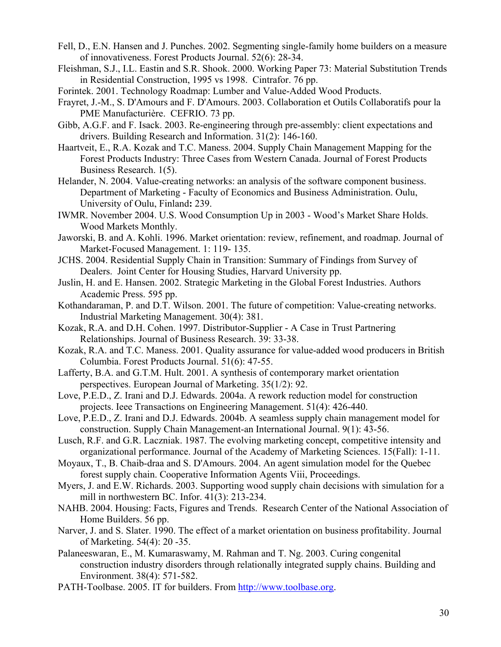- Fell, D., E.N. Hansen and J. Punches. 2002. Segmenting single-family home builders on a measure of innovativeness. Forest Products Journal. 52(6): 28-34.
- Fleishman, S.J., I.L. Eastin and S.R. Shook. 2000. Working Paper 73: Material Substitution Trends in Residential Construction, 1995 vs 1998. Cintrafor. 76 pp.
- Forintek. 2001. Technology Roadmap: Lumber and Value-Added Wood Products.
- Frayret, J.-M., S. D'Amours and F. D'Amours. 2003. Collaboration et Outils Collaboratifs pour la PME Manufacturière. CEFRIO. 73 pp.
- Gibb, A.G.F. and F. Isack. 2003. Re-engineering through pre-assembly: client expectations and drivers. Building Research and Information. 31(2): 146-160.
- Haartveit, E., R.A. Kozak and T.C. Maness. 2004. Supply Chain Management Mapping for the Forest Products Industry: Three Cases from Western Canada. Journal of Forest Products Business Research. 1(5).
- Helander, N. 2004. Value-creating networks: an analysis of the software component business. Department of Marketing - Faculty of Economics and Business Administration. Oulu, University of Oulu, Finland**:** 239.
- IWMR. November 2004. U.S. Wood Consumption Up in 2003 Wood's Market Share Holds. Wood Markets Monthly.
- Jaworski, B. and A. Kohli. 1996. Market orientation: review, refinement, and roadmap. Journal of Market-Focused Management. 1: 119- 135.
- JCHS. 2004. Residential Supply Chain in Transition: Summary of Findings from Survey of Dealers. Joint Center for Housing Studies, Harvard University pp.
- Juslin, H. and E. Hansen. 2002. Strategic Marketing in the Global Forest Industries. Authors Academic Press. 595 pp.
- Kothandaraman, P. and D.T. Wilson. 2001. The future of competition: Value-creating networks. Industrial Marketing Management. 30(4): 381.
- Kozak, R.A. and D.H. Cohen. 1997. Distributor-Supplier A Case in Trust Partnering Relationships. Journal of Business Research. 39: 33-38.
- Kozak, R.A. and T.C. Maness. 2001. Quality assurance for value-added wood producers in British Columbia. Forest Products Journal. 51(6): 47-55.
- Lafferty, B.A. and G.T.M. Hult. 2001. A synthesis of contemporary market orientation perspectives. European Journal of Marketing. 35(1/2): 92.
- Love, P.E.D., Z. Irani and D.J. Edwards. 2004a. A rework reduction model for construction projects. Ieee Transactions on Engineering Management. 51(4): 426-440.
- Love, P.E.D., Z. Irani and D.J. Edwards. 2004b. A seamless supply chain management model for construction. Supply Chain Management-an International Journal. 9(1): 43-56.
- Lusch, R.F. and G.R. Laczniak. 1987. The evolving marketing concept, competitive intensity and organizational performance. Journal of the Academy of Marketing Sciences. 15(Fall): 1-11.
- Moyaux, T., B. Chaib-draa and S. D'Amours. 2004. An agent simulation model for the Quebec forest supply chain. Cooperative Information Agents Viii, Proceedings.
- Myers, J. and E.W. Richards. 2003. Supporting wood supply chain decisions with simulation for a mill in northwestern BC. Infor. 41(3): 213-234.
- NAHB. 2004. Housing: Facts, Figures and Trends. Research Center of the National Association of Home Builders. 56 pp.
- Narver, J. and S. Slater. 1990. The effect of a market orientation on business profitability. Journal of Marketing. 54(4): 20 -35.
- Palaneeswaran, E., M. Kumaraswamy, M. Rahman and T. Ng. 2003. Curing congenital construction industry disorders through relationally integrated supply chains. Building and Environment. 38(4): 571-582.
- PATH-Toolbase. 2005. IT for builders. From http://www.toolbase.org.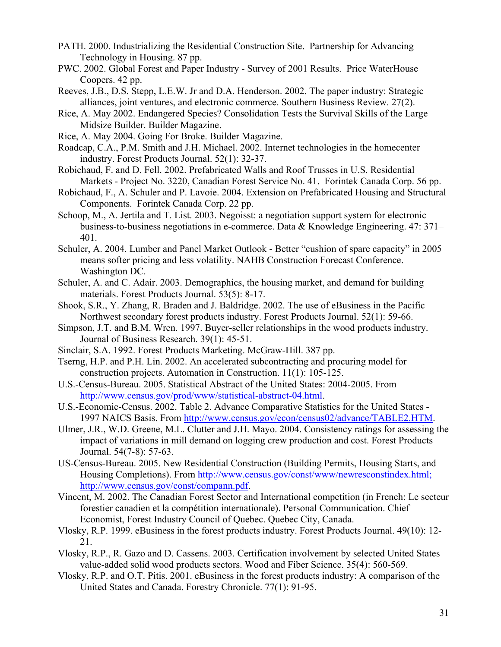- PATH. 2000. Industrializing the Residential Construction Site. Partnership for Advancing Technology in Housing. 87 pp.
- PWC. 2002. Global Forest and Paper Industry Survey of 2001 Results. Price WaterHouse Coopers. 42 pp.
- Reeves, J.B., D.S. Stepp, L.E.W. Jr and D.A. Henderson. 2002. The paper industry: Strategic alliances, joint ventures, and electronic commerce. Southern Business Review. 27(2).
- Rice, A. May 2002. Endangered Species? Consolidation Tests the Survival Skills of the Large Midsize Builder. Builder Magazine.
- Rice, A. May 2004. Going For Broke. Builder Magazine.
- Roadcap, C.A., P.M. Smith and J.H. Michael. 2002. Internet technologies in the homecenter industry. Forest Products Journal. 52(1): 32-37.
- Robichaud, F. and D. Fell. 2002. Prefabricated Walls and Roof Trusses in U.S. Residential Markets - Project No. 3220, Canadian Forest Service No. 41. Forintek Canada Corp. 56 pp.
- Robichaud, F., A. Schuler and P. Lavoie. 2004. Extension on Prefabricated Housing and Structural Components. Forintek Canada Corp. 22 pp.
- Schoop, M., A. Jertila and T. List. 2003. Negoisst: a negotiation support system for electronic business-to-business negotiations in e-commerce. Data & Knowledge Engineering. 47: 371– 401.
- Schuler, A. 2004. Lumber and Panel Market Outlook Better "cushion of spare capacity" in 2005 means softer pricing and less volatility. NAHB Construction Forecast Conference. Washington DC.
- Schuler, A. and C. Adair. 2003. Demographics, the housing market, and demand for building materials. Forest Products Journal. 53(5): 8-17.
- Shook, S.R., Y. Zhang, R. Braden and J. Baldridge. 2002. The use of eBusiness in the Pacific Northwest secondary forest products industry. Forest Products Journal. 52(1): 59-66.
- Simpson, J.T. and B.M. Wren. 1997. Buyer-seller relationships in the wood products industry. Journal of Business Research. 39(1): 45-51.
- Sinclair, S.A. 1992. Forest Products Marketing. McGraw-Hill. 387 pp.
- Tserng, H.P. and P.H. Lin. 2002. An accelerated subcontracting and procuring model for construction projects. Automation in Construction. 11(1): 105-125.
- U.S.-Census-Bureau. 2005. Statistical Abstract of the United States: 2004-2005. From http://www.census.gov/prod/www/statistical-abstract-04.html.
- U.S.-Economic-Census. 2002. Table 2. Advance Comparative Statistics for the United States 1997 NAICS Basis. From http://www.census.gov/econ/census02/advance/TABLE2.HTM.
- Ulmer, J.R., W.D. Greene, M.L. Clutter and J.H. Mayo. 2004. Consistency ratings for assessing the impact of variations in mill demand on logging crew production and cost. Forest Products Journal. 54(7-8): 57-63.
- US-Census-Bureau. 2005. New Residential Construction (Building Permits, Housing Starts, and Housing Completions). From http://www.census.gov/const/www/newresconstindex.html; http://www.census.gov/const/compann.pdf.
- Vincent, M. 2002. The Canadian Forest Sector and International competition (in French: Le secteur forestier canadien et la compétition internationale). Personal Communication. Chief Economist, Forest Industry Council of Quebec. Quebec City, Canada.
- Vlosky, R.P. 1999. eBusiness in the forest products industry. Forest Products Journal. 49(10): 12- 21.
- Vlosky, R.P., R. Gazo and D. Cassens. 2003. Certification involvement by selected United States value-added solid wood products sectors. Wood and Fiber Science. 35(4): 560-569.
- Vlosky, R.P. and O.T. Pitis. 2001. eBusiness in the forest products industry: A comparison of the United States and Canada. Forestry Chronicle. 77(1): 91-95.